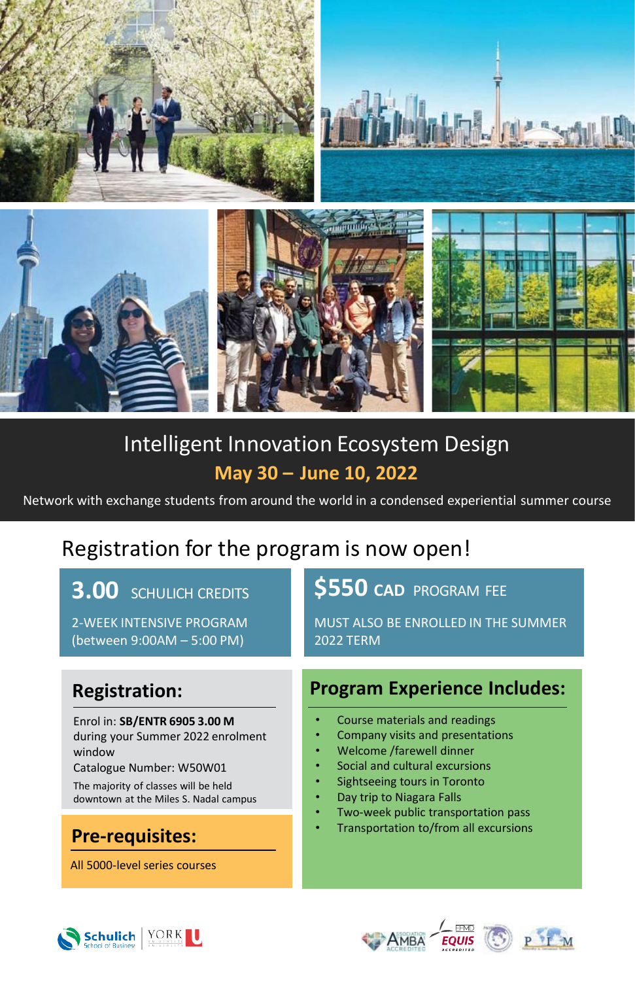

# Intelligent Innovation Ecosystem Design **May 30 – June 10, 2022**

Network with exchange students from around the world in a condensed experiential summer course

## Registration for the program is now open!

2-WEEK INTENSIVE PROGRAM (between 9:00AM – 5:00 PM)

Enrol in: **SB/ENTR 6905 3.00 M** during your Summer 2022 enrolment window

Catalogue Number: W50W01

The majority of classes will be held downtown at the Miles S. Nadal campus

All 5000-level series courses

### **3.00** SCHULICH CREDITS **\$550 CAD** PROGRAM FEE

MUST ALSO BE ENROLLED IN THE SUMMER 2022 TERM

### **Registration: Program Experience Includes:**

- Course materials and readings
- Company visits and presentations
- Welcome /farewell dinner
- Social and cultural excursions
- Sightseeing tours in Toronto
- Day trip to Niagara Falls
- Two-week public transportation pass
- Transportation to/from all excursions **Pre-requisites:**